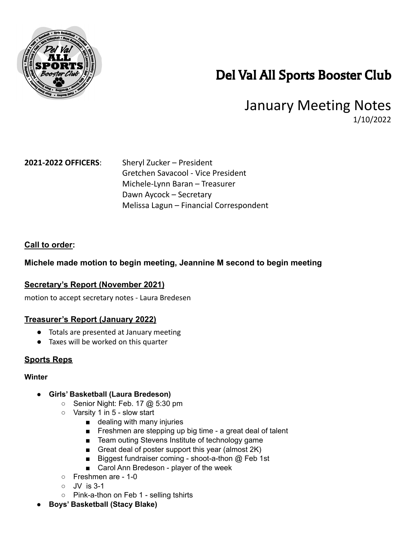

# Del Val All Sports Booster Club

## January Meeting Notes 1/10/2022

**2021-2022 OFFICERS**: Sheryl Zucker – President Gretchen Savacool - Vice President Michele-Lynn Baran – Treasurer Dawn Aycock – Secretary Melissa Lagun – Financial Correspondent

### **Call to order:**

### **Michele made motion to begin meeting, Jeannine M second to begin meeting**

#### **Secretary's Report (November 2021)**

motion to accept secretary notes - Laura Bredesen

#### **Treasurer's Report (January 2022)**

- Totals are presented at January meeting
- Taxes will be worked on this quarter

#### **Sports Reps**

#### **Winter**

- **● Girls' Basketball (Laura Bredeson)**
	- Senior Night: Feb. 17 @ 5:30 pm
	- Varsity 1 in 5 slow start
		- dealing with many injuries
		- Freshmen are stepping up big time a great deal of talent
		- Team outing Stevens Institute of technology game
		- Great deal of poster support this year (almost 2K)
		- Biggest fundraiser coming shoot-a-thon @ Feb 1st
		- Carol Ann Bredeson player of the week
	- Freshmen are 1-0
	- JV is 3-1
	- Pink-a-thon on Feb 1 selling tshirts
- **● Boys' Basketball (Stacy Blake)**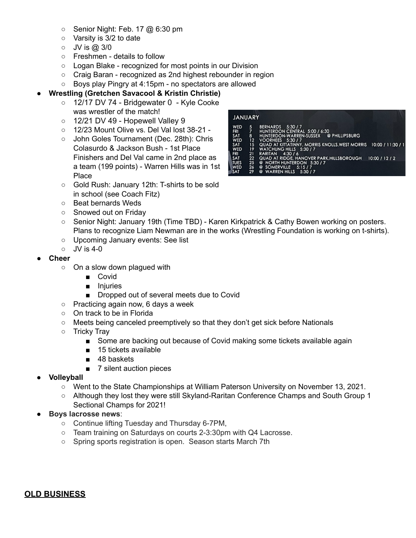- **○** Senior Night: Feb. 17 @ 6:30 pm
- Varsity is 3/2 to date
- JV is @ 3/0
- Freshmen details to follow
- Logan Blake recognized for most points in our Division
- Craig Baran recognized as 2nd highest rebounder in region
- Boys play Pingry at 4:15pm no spectators are allowed

#### **● Wrestling (Gretchen Savacool & Kristin Christie)**

- **○** 12/17 DV 74 Bridgewater 0 Kyle Cooke was wrestler of the match!
- **○** 12/21 DV 49 Hopewell Valley 9
- 12/23 Mount Olive vs. Del Val lost 38-21 -
- **○** John Goles Tournament (Dec. 28th): Chris Colasurdo & Jackson Bush - 1st Place Finishers and Del Val came in 2nd place as a team (199 points) - Warren Hills was in 1st Place



- Gold Rush: January 12th: T-shirts to be sold in school (see Coach Fitz)
- Beat bernards Weds
- Snowed out on Friday
- Senior Night: January 19th (Time TBD) Karen Kirkpatrick & Cathy Bowen working on posters. Plans to recognize Liam Newman are in the works (Wrestling Foundation is working on t-shirts).
- Upcoming January events: See list
- $\circ$  JV is 4-0

#### **● Cheer**

- **○** On a slow down plagued with
	- **■** Covid
	- **■** Injuries
	- Dropped out of several meets due to Covid
- **○** Practicing again now, 6 days a week
- **○** On track to be in Florida
- **○** Meets being canceled preemptively so that they don't get sick before Nationals
- Tricky Tray
	- Some are backing out because of Covid making some tickets available again
	- 15 tickets available
	- 48 baskets
	- 7 silent auction pieces
- **Volleyball** 
	- Went to the State Championships at William Paterson University on November 13, 2021.
	- Although they lost they were still Skyland-Raritan Conference Champs and South Group 1 Sectional Champs for 2021!
- **Boys lacrosse news:** 
	- Continue lifting Tuesday and Thursday 6-7PM,
	- Team training on Saturdays on courts 2-3:30pm with Q4 Lacrosse.
	- Spring sports registration is open. Season starts March 7th

#### **OLD BUSINESS**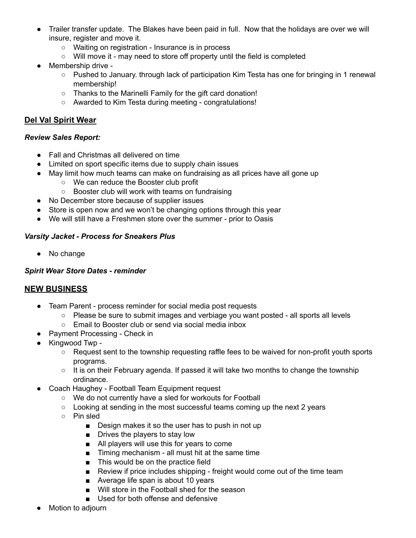- ● Trailer transfer update. The Blakes have been paid in full. Now that the holidays are over we will insure, register and move it.
	- Waiting on registration Insurance is in process
	- Will move it may need to store off property until the field is completed
- ● Membership drive
	- Pushed to January. through lack of participation Kim Testa has one for bringing in 1 renewal membership!
	- Thanks to the Marinelli Family for the gift card donation!
	- Awarded to Kim Testa during meeting congratulations!

#### **Del Val Spirit Wear**

#### *Review Sales Report:*

- Fall and Christmas all delivered on time
- Limited on sport specific items due to supply chain issues
- ● May limit how much teams can make on fundraising as all prices have all gone up
	- We can reduce the Booster club profit
	- Booster club will work with teams on fundraising
- No December store because of supplier issues
- Store is open now and we won't be changing options through this year
- We will still have a Freshmen store over the summer prior to Oasis

#### *Varsity Jacket - Process for Sneakers Plus*

● No change

#### *Spirit Wear Store Dates - reminder*

### **NEW BUSINESS**

- ● Team Parent process reminder for social media post requests
	- Please be sure to submit images and verbiage you want posted all sports all levels
	- Email to Booster club or send via social media inbox
- Payment Processing Check in
- ● Kingwood Twp
	- Request sent to the township requesting raffle fees to be waived for non-profit youth sports programs.
	- It is on their February agenda. If passed it will take two months to change the township ordinance.
- ● Coach Haughey Football Team Equipment request
	- We do not currently have a sled for workouts for Football
	- Looking at sending in the most successful teams coming up the next 2 years
	- Pin sled
		- Design makes it so the user has to push in not up
		- Drives the players to stay low
		- All players will use this for years to come
		- Timing mechanism all must hit at the same time
		- This would be on the practice field
		- Review if price includes shipping freight would come out of the time team
		- Average life span is about 10 years
		- Will store in the Football shed for the season
		- Used for both offense and defensive
- Motion to adjourn